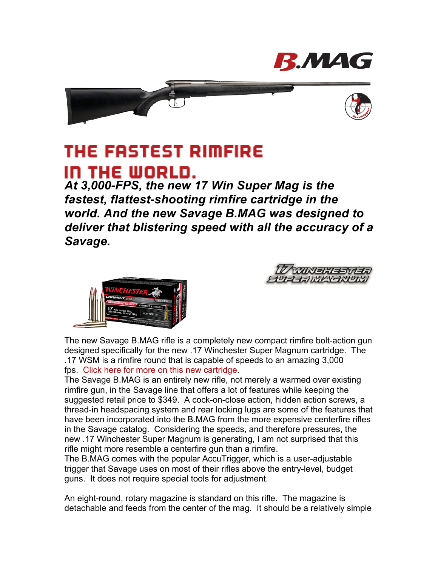

INGHESMER



## THE FASTEST RIMFIRE IN THE WORLD.

*At 3,000-FPS, the new 17 Win Super Mag is the fastest, flattest-shooting rimfire cartridge in the world. And the new Savage B.MAG was designed to deliver that blistering speed with all the accuracy of a Savage.*



The new Savage B.MAG rifle is a completely new compact rimfire bolt-action gun designed specifically for the new .17 Winchester Super Magnum cartridge. The .17 WSM is a rimfire round that is capable of speeds to an amazing 3,000 fps. Click here for more on this new cartridge.

The Savage B.MAG is an entirely new rifle, not merely a warmed over existing rimfire gun, in the Savage line that offers a lot of features while keeping the suggested retail price to \$349. A cock-on-close action, hidden action screws, a thread-in headspacing system and rear locking lugs are some of the features that have been incorporated into the B.MAG from the more expensive centerfire rifles in the Savage catalog. Considering the speeds, and therefore pressures, the new .17 Winchester Super Magnum is generating, I am not surprised that this rifle might more resemble a centerfire gun than a rimfire.

The B.MAG comes with the popular AccuTrigger, which is a user-adjustable trigger that Savage uses on most of their rifles above the entry-level, budget guns. It does not require special tools for adjustment.

An eight-round, rotary magazine is standard on this rifle. The magazine is detachable and feeds from the center of the mag. It should be a relatively simple